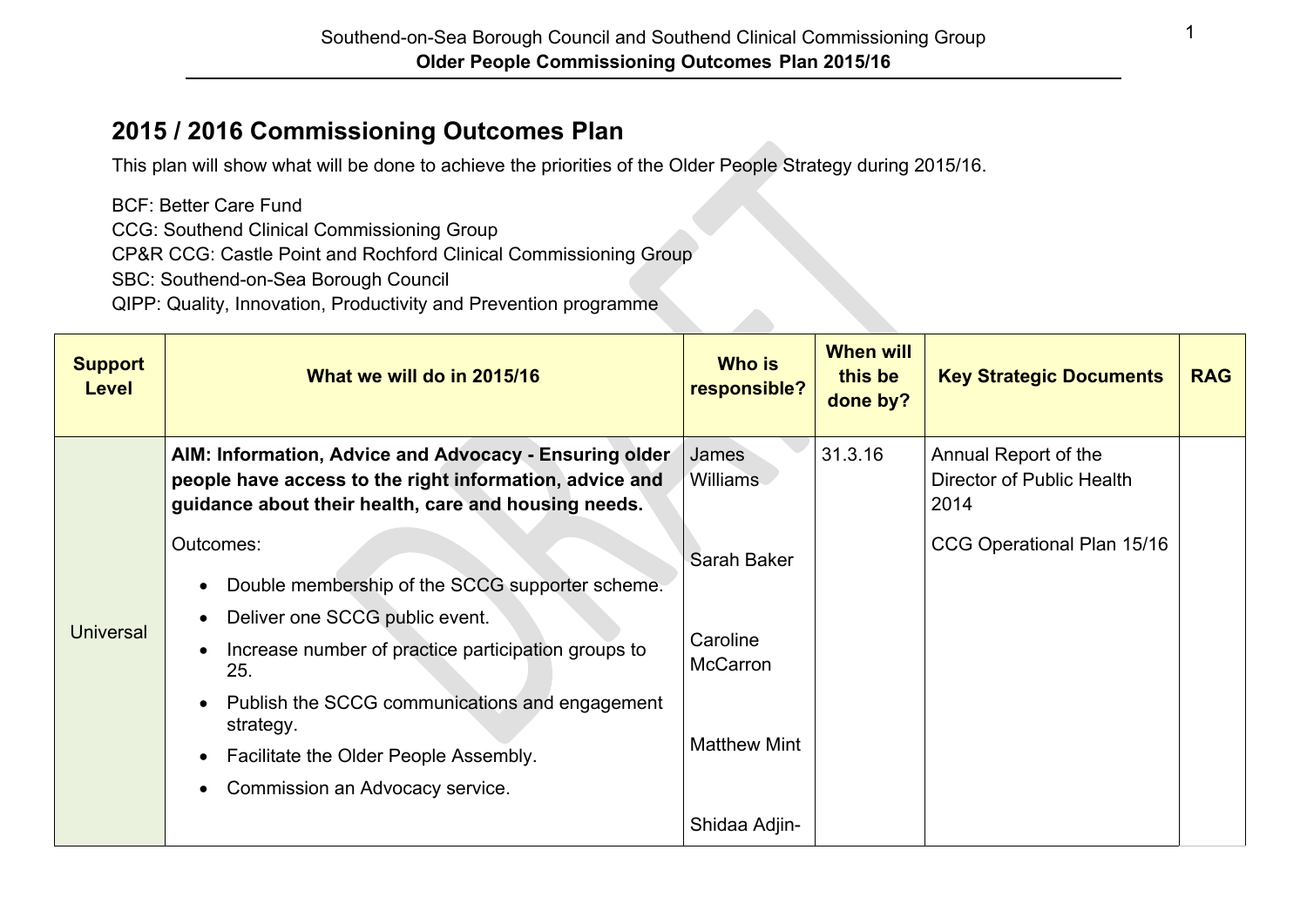## **2015 / 2016 Commissioning Outcomes Plan**

This plan will show what will be done to achieve the priorities of the Older People Strategy during 2015/16.

BCF: Better Care Fund CCG: Southend Clinical Commissioning Group CP&R CCG: Castle Point and Rochford Clinical Commissioning Group SBC: Southend-on-Sea Borough Council QIPP: Quality, Innovation, Productivity and Prevention programme

| <b>Support</b><br><b>Level</b> | What we will do in 2015/16                                                                                                                                                                                                              | <b>Who is</b><br>responsible?                      | <b>When will</b><br>this be<br>done by? | <b>Key Strategic Documents</b>                            | <b>RAG</b> |
|--------------------------------|-----------------------------------------------------------------------------------------------------------------------------------------------------------------------------------------------------------------------------------------|----------------------------------------------------|-----------------------------------------|-----------------------------------------------------------|------------|
|                                | AIM: Information, Advice and Advocacy - Ensuring older<br>people have access to the right information, advice and<br>guidance about their health, care and housing needs.                                                               | James<br><b>Williams</b>                           | 31.3.16                                 | Annual Report of the<br>Director of Public Health<br>2014 |            |
| <b>Universal</b>               | Outcomes:<br>Double membership of the SCCG supporter scheme.                                                                                                                                                                            | Sarah Baker                                        |                                         | CCG Operational Plan 15/16                                |            |
|                                | Deliver one SCCG public event.<br>Increase number of practice participation groups to<br>25.<br>Publish the SCCG communications and engagement<br>strategy.<br>Facilitate the Older People Assembly.<br>Commission an Advocacy service. | Caroline<br><b>McCarron</b><br><b>Matthew Mint</b> |                                         |                                                           |            |
|                                |                                                                                                                                                                                                                                         | Shidaa Adjin-                                      |                                         |                                                           |            |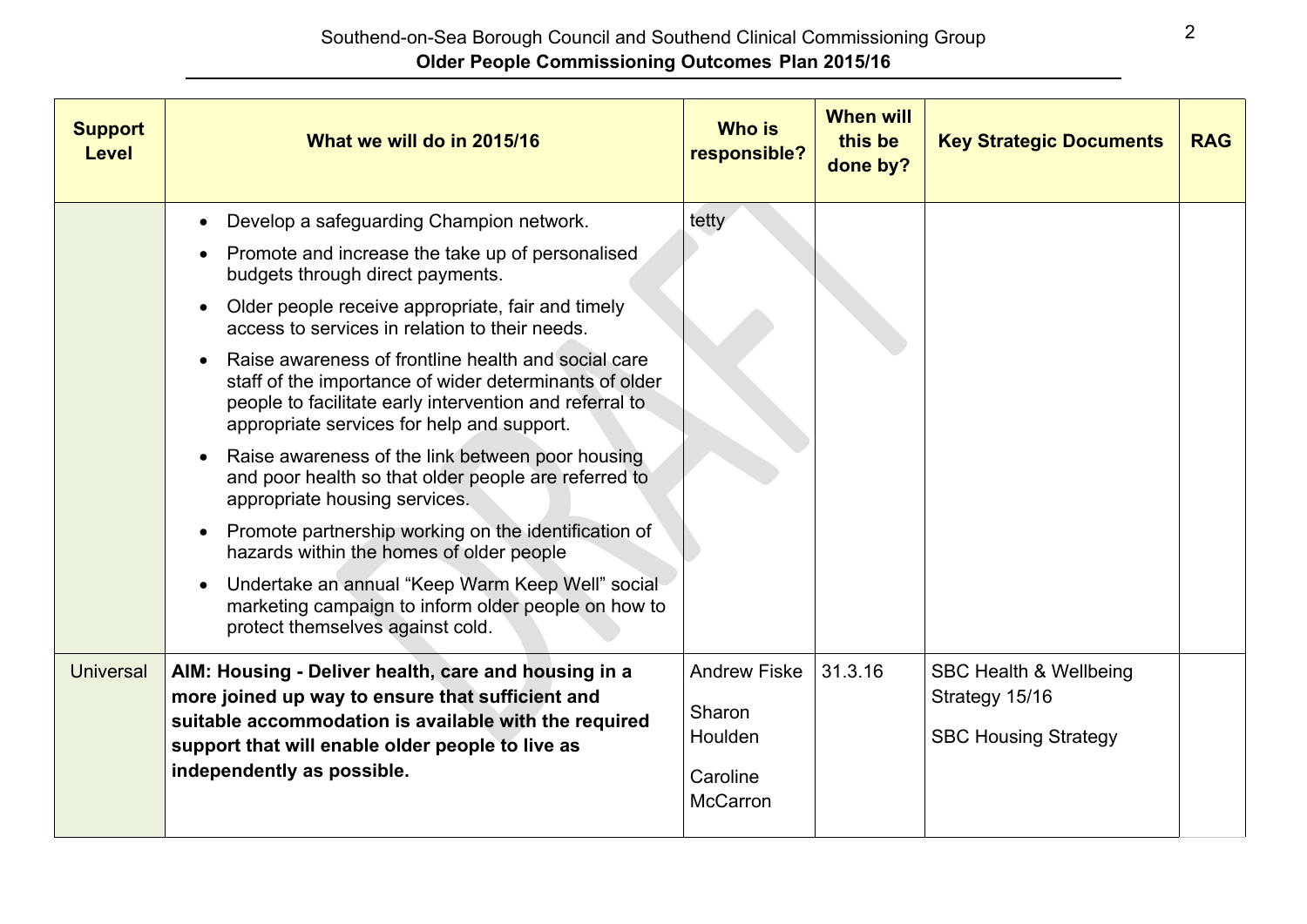| <b>Support</b><br><b>Level</b> | What we will do in 2015/16                                                                                                                                                                                                                                                                                                                                                                                                                                                                                                                                                                                                                                                                                                                                                                                                                                                                  | <b>Who is</b><br>responsible?                                           | <b>When will</b><br>this be<br>done by? | <b>Key Strategic Documents</b>                                                     | <b>RAG</b> |
|--------------------------------|---------------------------------------------------------------------------------------------------------------------------------------------------------------------------------------------------------------------------------------------------------------------------------------------------------------------------------------------------------------------------------------------------------------------------------------------------------------------------------------------------------------------------------------------------------------------------------------------------------------------------------------------------------------------------------------------------------------------------------------------------------------------------------------------------------------------------------------------------------------------------------------------|-------------------------------------------------------------------------|-----------------------------------------|------------------------------------------------------------------------------------|------------|
|                                | Develop a safeguarding Champion network.<br>$\bullet$<br>Promote and increase the take up of personalised<br>budgets through direct payments.<br>Older people receive appropriate, fair and timely<br>access to services in relation to their needs.<br>Raise awareness of frontline health and social care<br>staff of the importance of wider determinants of older<br>people to facilitate early intervention and referral to<br>appropriate services for help and support.<br>Raise awareness of the link between poor housing<br>and poor health so that older people are referred to<br>appropriate housing services.<br>Promote partnership working on the identification of<br>$\bullet$<br>hazards within the homes of older people<br>Undertake an annual "Keep Warm Keep Well" social<br>marketing campaign to inform older people on how to<br>protect themselves against cold. | tetty                                                                   |                                         |                                                                                    |            |
| <b>Universal</b>               | AIM: Housing - Deliver health, care and housing in a<br>more joined up way to ensure that sufficient and<br>suitable accommodation is available with the required<br>support that will enable older people to live as<br>independently as possible.                                                                                                                                                                                                                                                                                                                                                                                                                                                                                                                                                                                                                                         | <b>Andrew Fiske</b><br>Sharon<br>Houlden<br>Caroline<br><b>McCarron</b> | 31.3.16                                 | <b>SBC Health &amp; Wellbeing</b><br>Strategy 15/16<br><b>SBC Housing Strategy</b> |            |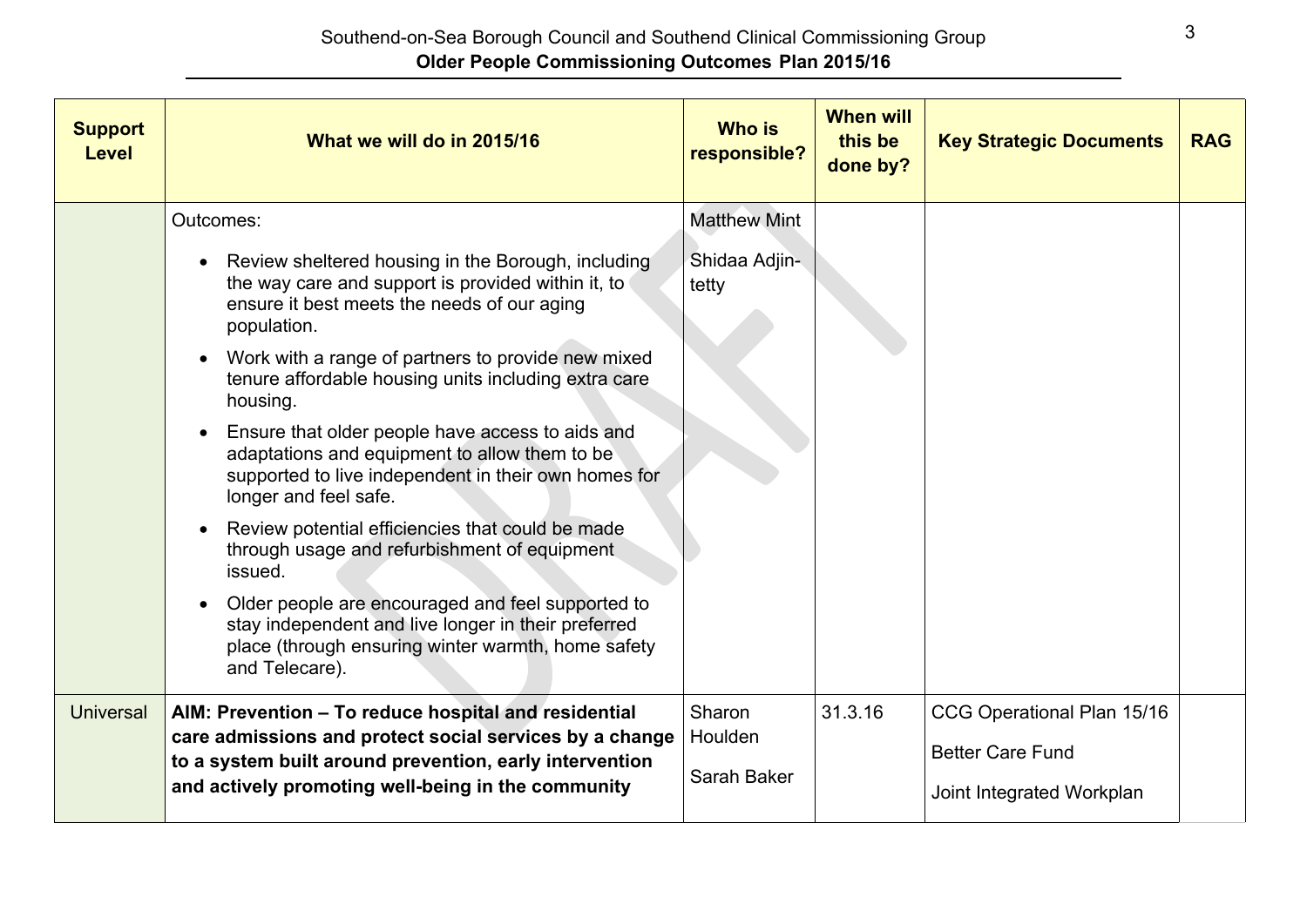| <b>Support</b><br><b>Level</b> | What we will do in 2015/16                                                                                                                                                                                                                                                                                                                                                                                                                                                                                                                                                                                                                                              | <b>Who is</b><br>responsible?                 | <b>When will</b><br>this be<br>done by? | <b>Key Strategic Documents</b>                                                     | <b>RAG</b> |
|--------------------------------|-------------------------------------------------------------------------------------------------------------------------------------------------------------------------------------------------------------------------------------------------------------------------------------------------------------------------------------------------------------------------------------------------------------------------------------------------------------------------------------------------------------------------------------------------------------------------------------------------------------------------------------------------------------------------|-----------------------------------------------|-----------------------------------------|------------------------------------------------------------------------------------|------------|
|                                | Outcomes:<br>Review sheltered housing in the Borough, including<br>the way care and support is provided within it, to<br>ensure it best meets the needs of our aging<br>population.<br>Work with a range of partners to provide new mixed<br>tenure affordable housing units including extra care<br>housing.<br>Ensure that older people have access to aids and<br>adaptations and equipment to allow them to be<br>supported to live independent in their own homes for<br>longer and feel safe.<br>Review potential efficiencies that could be made<br>through usage and refurbishment of equipment<br>issued.<br>Older people are encouraged and feel supported to | <b>Matthew Mint</b><br>Shidaa Adjin-<br>tetty |                                         |                                                                                    |            |
|                                | stay independent and live longer in their preferred<br>place (through ensuring winter warmth, home safety<br>and Telecare).                                                                                                                                                                                                                                                                                                                                                                                                                                                                                                                                             |                                               |                                         |                                                                                    |            |
| <b>Universal</b>               | AIM: Prevention - To reduce hospital and residential<br>care admissions and protect social services by a change<br>to a system built around prevention, early intervention<br>and actively promoting well-being in the community                                                                                                                                                                                                                                                                                                                                                                                                                                        | Sharon<br>Houlden<br>Sarah Baker              | 31.3.16                                 | CCG Operational Plan 15/16<br><b>Better Care Fund</b><br>Joint Integrated Workplan |            |
|                                |                                                                                                                                                                                                                                                                                                                                                                                                                                                                                                                                                                                                                                                                         |                                               |                                         |                                                                                    |            |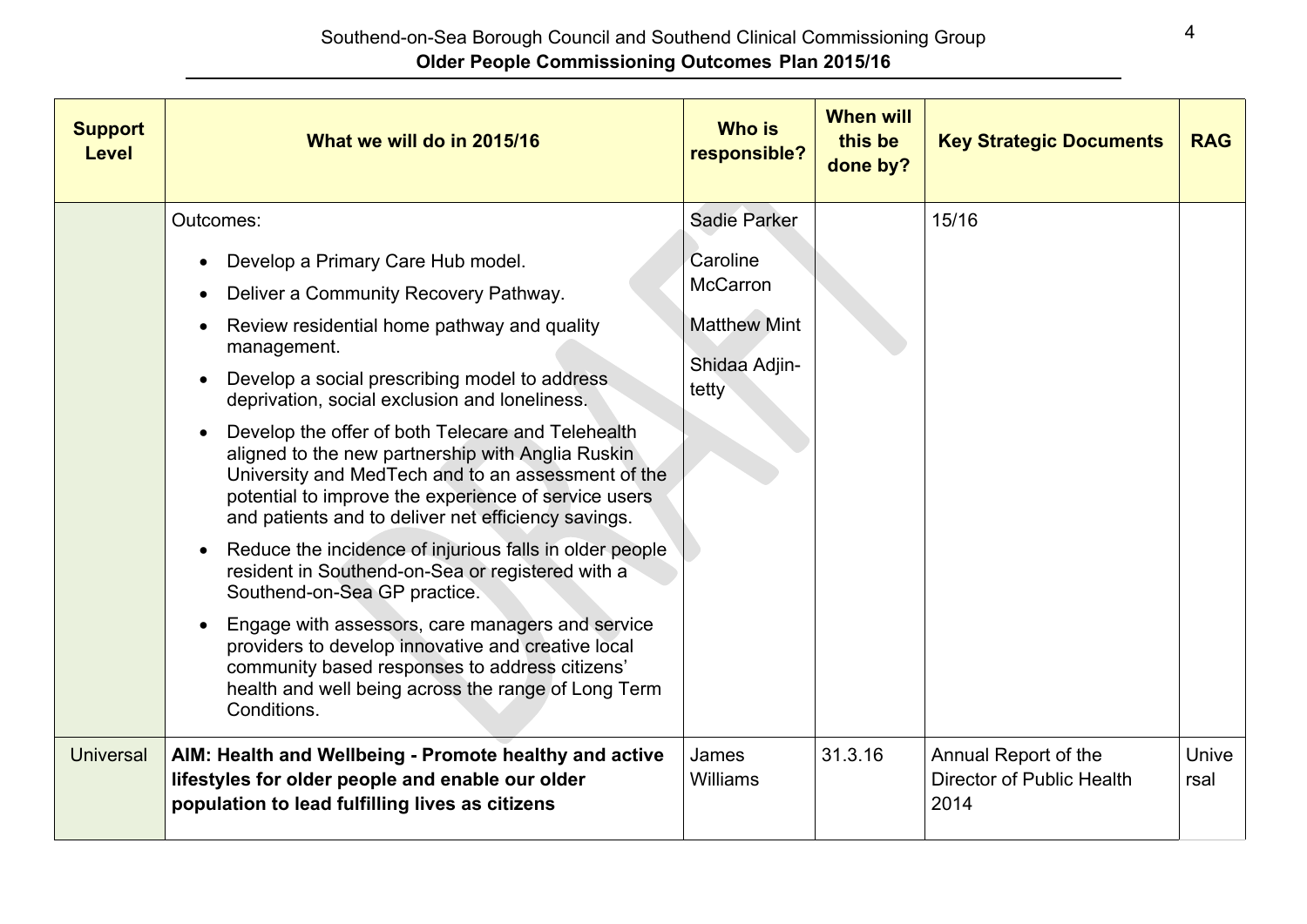| <b>Support</b><br><b>Level</b> | What we will do in 2015/16                                                                                                                                                                                                                                                                                                                                                                                                                                                                                                                                                                                                                                                                                                                                                                                                                                                                                                           | <b>Who is</b><br>responsible?                                                                | <b>When will</b><br>this be<br>done by? | <b>Key Strategic Documents</b>                            | <b>RAG</b>    |
|--------------------------------|--------------------------------------------------------------------------------------------------------------------------------------------------------------------------------------------------------------------------------------------------------------------------------------------------------------------------------------------------------------------------------------------------------------------------------------------------------------------------------------------------------------------------------------------------------------------------------------------------------------------------------------------------------------------------------------------------------------------------------------------------------------------------------------------------------------------------------------------------------------------------------------------------------------------------------------|----------------------------------------------------------------------------------------------|-----------------------------------------|-----------------------------------------------------------|---------------|
|                                | Outcomes:<br>Develop a Primary Care Hub model.<br>Deliver a Community Recovery Pathway.<br>$\bullet$<br>Review residential home pathway and quality<br>management.<br>Develop a social prescribing model to address<br>deprivation, social exclusion and loneliness.<br>Develop the offer of both Telecare and Telehealth<br>aligned to the new partnership with Anglia Ruskin<br>University and MedTech and to an assessment of the<br>potential to improve the experience of service users<br>and patients and to deliver net efficiency savings.<br>Reduce the incidence of injurious falls in older people<br>resident in Southend-on-Sea or registered with a<br>Southend-on-Sea GP practice.<br>Engage with assessors, care managers and service<br>providers to develop innovative and creative local<br>community based responses to address citizens'<br>health and well being across the range of Long Term<br>Conditions. | <b>Sadie Parker</b><br>Caroline<br>McCarron<br><b>Matthew Mint</b><br>Shidaa Adjin-<br>tetty |                                         | 15/16                                                     |               |
| <b>Universal</b>               | AIM: Health and Wellbeing - Promote healthy and active<br>lifestyles for older people and enable our older<br>population to lead fulfilling lives as citizens                                                                                                                                                                                                                                                                                                                                                                                                                                                                                                                                                                                                                                                                                                                                                                        | James<br>Williams                                                                            | 31.3.16                                 | Annual Report of the<br>Director of Public Health<br>2014 | Unive<br>rsal |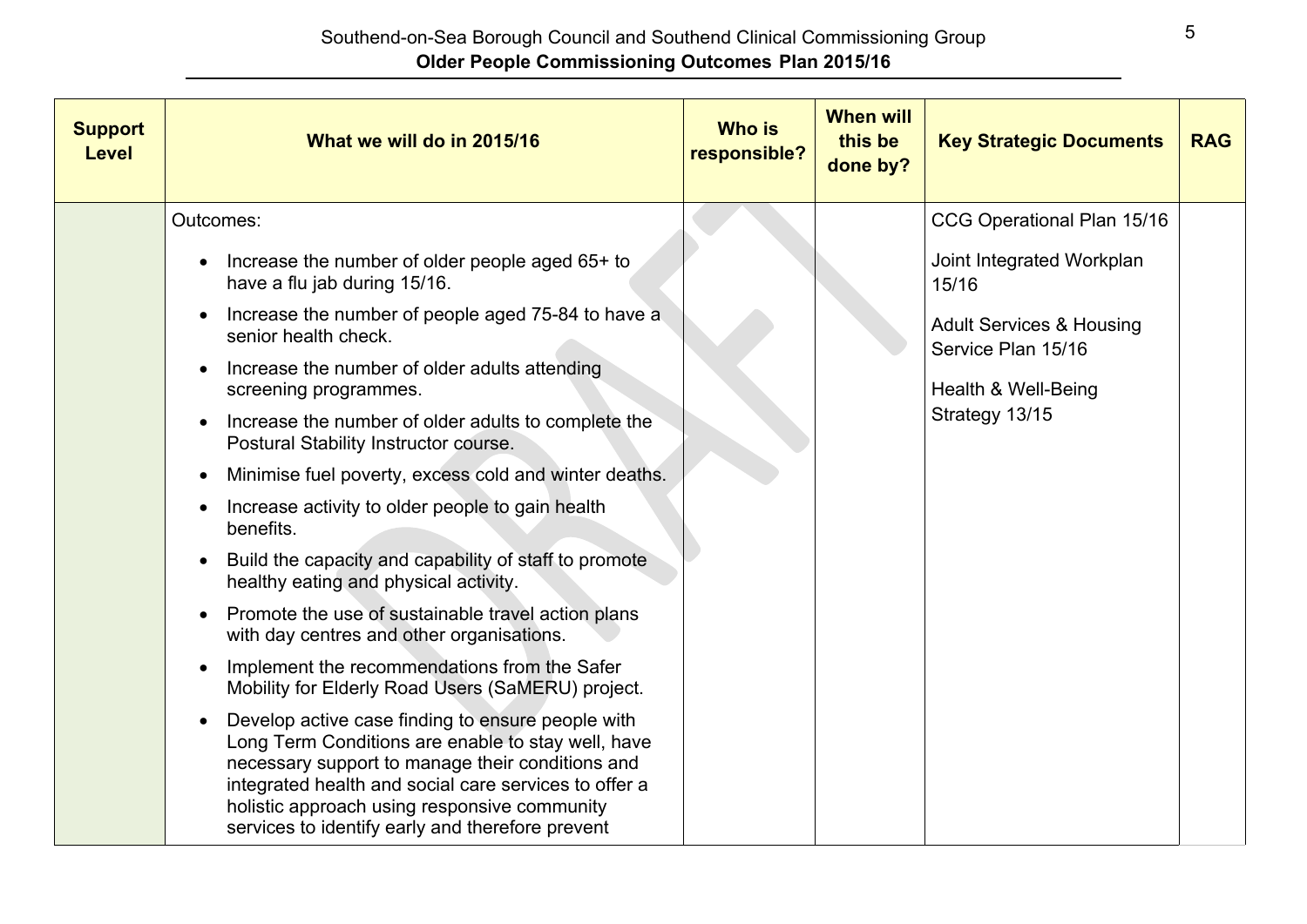| <b>Support</b><br><b>Level</b> | What we will do in 2015/16                                                                                                                                                                                                                                                                                                                                                                                                                                                                                                                                                                                                                                                                                                                                                                                                                                                                                                                                                                                                                                                                                           | <b>Who is</b><br>responsible? | <b>When will</b><br>this be<br>done by? | <b>Key Strategic Documents</b>                                                                                                                                         | <b>RAG</b> |
|--------------------------------|----------------------------------------------------------------------------------------------------------------------------------------------------------------------------------------------------------------------------------------------------------------------------------------------------------------------------------------------------------------------------------------------------------------------------------------------------------------------------------------------------------------------------------------------------------------------------------------------------------------------------------------------------------------------------------------------------------------------------------------------------------------------------------------------------------------------------------------------------------------------------------------------------------------------------------------------------------------------------------------------------------------------------------------------------------------------------------------------------------------------|-------------------------------|-----------------------------------------|------------------------------------------------------------------------------------------------------------------------------------------------------------------------|------------|
|                                | Outcomes:<br>Increase the number of older people aged 65+ to<br>have a flu jab during 15/16.<br>Increase the number of people aged 75-84 to have a<br>senior health check.<br>Increase the number of older adults attending<br>screening programmes.<br>Increase the number of older adults to complete the<br>Postural Stability Instructor course.<br>Minimise fuel poverty, excess cold and winter deaths.<br>Increase activity to older people to gain health<br>benefits.<br>Build the capacity and capability of staff to promote<br>healthy eating and physical activity.<br>Promote the use of sustainable travel action plans<br>with day centres and other organisations.<br>Implement the recommendations from the Safer<br>Mobility for Elderly Road Users (SaMERU) project.<br>Develop active case finding to ensure people with<br>Long Term Conditions are enable to stay well, have<br>necessary support to manage their conditions and<br>integrated health and social care services to offer a<br>holistic approach using responsive community<br>services to identify early and therefore prevent |                               |                                         | CCG Operational Plan 15/16<br>Joint Integrated Workplan<br>15/16<br><b>Adult Services &amp; Housing</b><br>Service Plan 15/16<br>Health & Well-Being<br>Strategy 13/15 |            |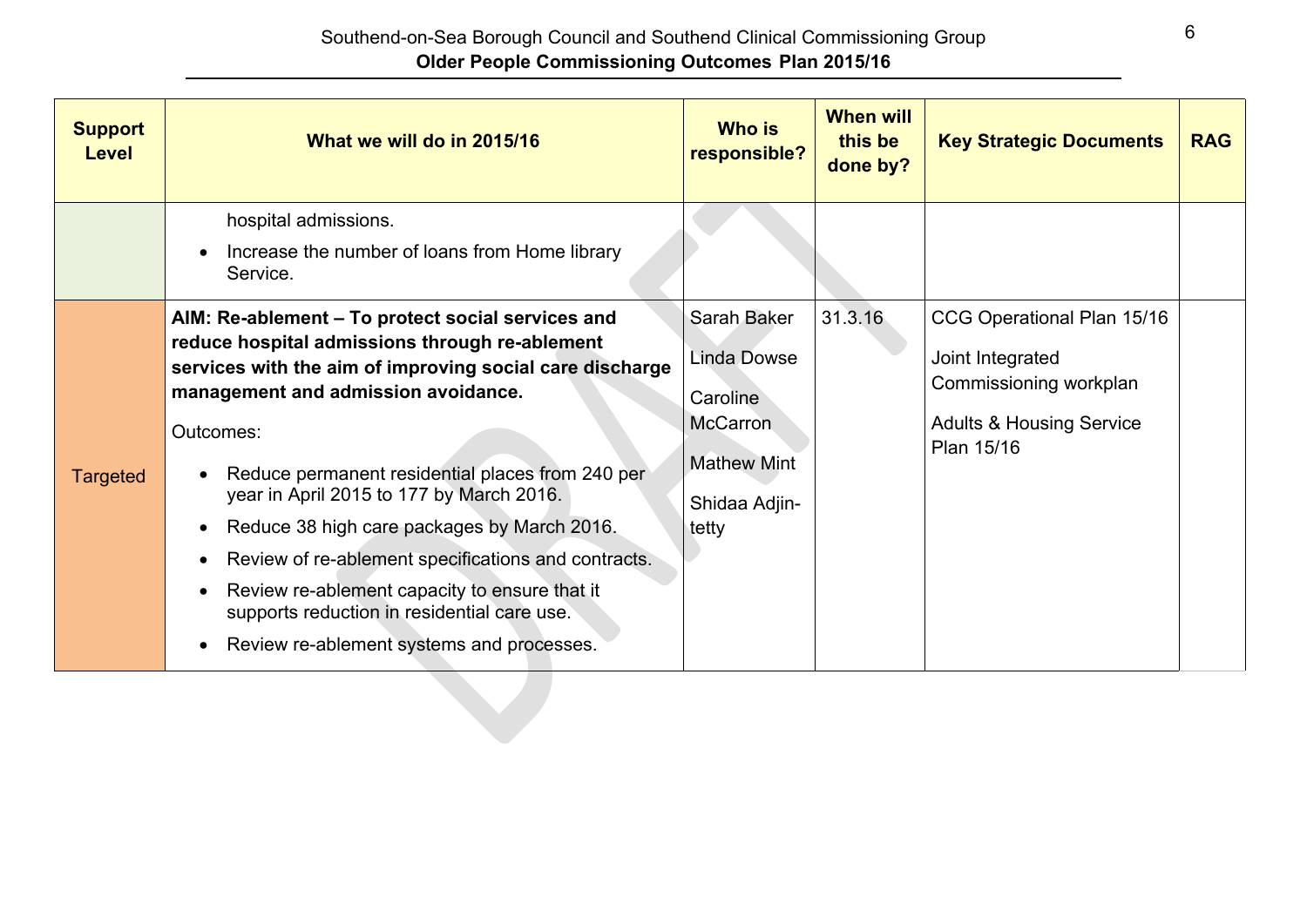| hospital admissions.<br>Increase the number of loans from Home library<br>Service.<br>31.3.16<br>AIM: Re-ablement - To protect social services and<br>Sarah Baker<br>CCG Operational Plan 15/16<br>reduce hospital admissions through re-ablement<br>Linda Dowse<br>Joint Integrated<br>services with the aim of improving social care discharge<br>Commissioning workplan<br>management and admission avoidance.<br>Caroline<br><b>McCarron</b><br><b>Adults &amp; Housing Service</b><br>Outcomes:<br>Plan 15/16<br><b>Mathew Mint</b><br>Reduce permanent residential places from 240 per<br><b>Targeted</b><br>year in April 2015 to 177 by March 2016.<br>Shidaa Adjin-<br>Reduce 38 high care packages by March 2016.<br>tetty<br>$\bullet$<br>Review of re-ablement specifications and contracts.<br>$\bullet$<br>Review re-ablement capacity to ensure that it<br>supports reduction in residential care use. | <b>Support</b><br><b>Level</b> | What we will do in 2015/16                | <b>Who is</b><br>responsible? | <b>When will</b><br>this be<br>done by? | <b>Key Strategic Documents</b> | <b>RAG</b> |
|-----------------------------------------------------------------------------------------------------------------------------------------------------------------------------------------------------------------------------------------------------------------------------------------------------------------------------------------------------------------------------------------------------------------------------------------------------------------------------------------------------------------------------------------------------------------------------------------------------------------------------------------------------------------------------------------------------------------------------------------------------------------------------------------------------------------------------------------------------------------------------------------------------------------------|--------------------------------|-------------------------------------------|-------------------------------|-----------------------------------------|--------------------------------|------------|
|                                                                                                                                                                                                                                                                                                                                                                                                                                                                                                                                                                                                                                                                                                                                                                                                                                                                                                                       |                                |                                           |                               |                                         |                                |            |
|                                                                                                                                                                                                                                                                                                                                                                                                                                                                                                                                                                                                                                                                                                                                                                                                                                                                                                                       |                                | Review re-ablement systems and processes. |                               |                                         |                                |            |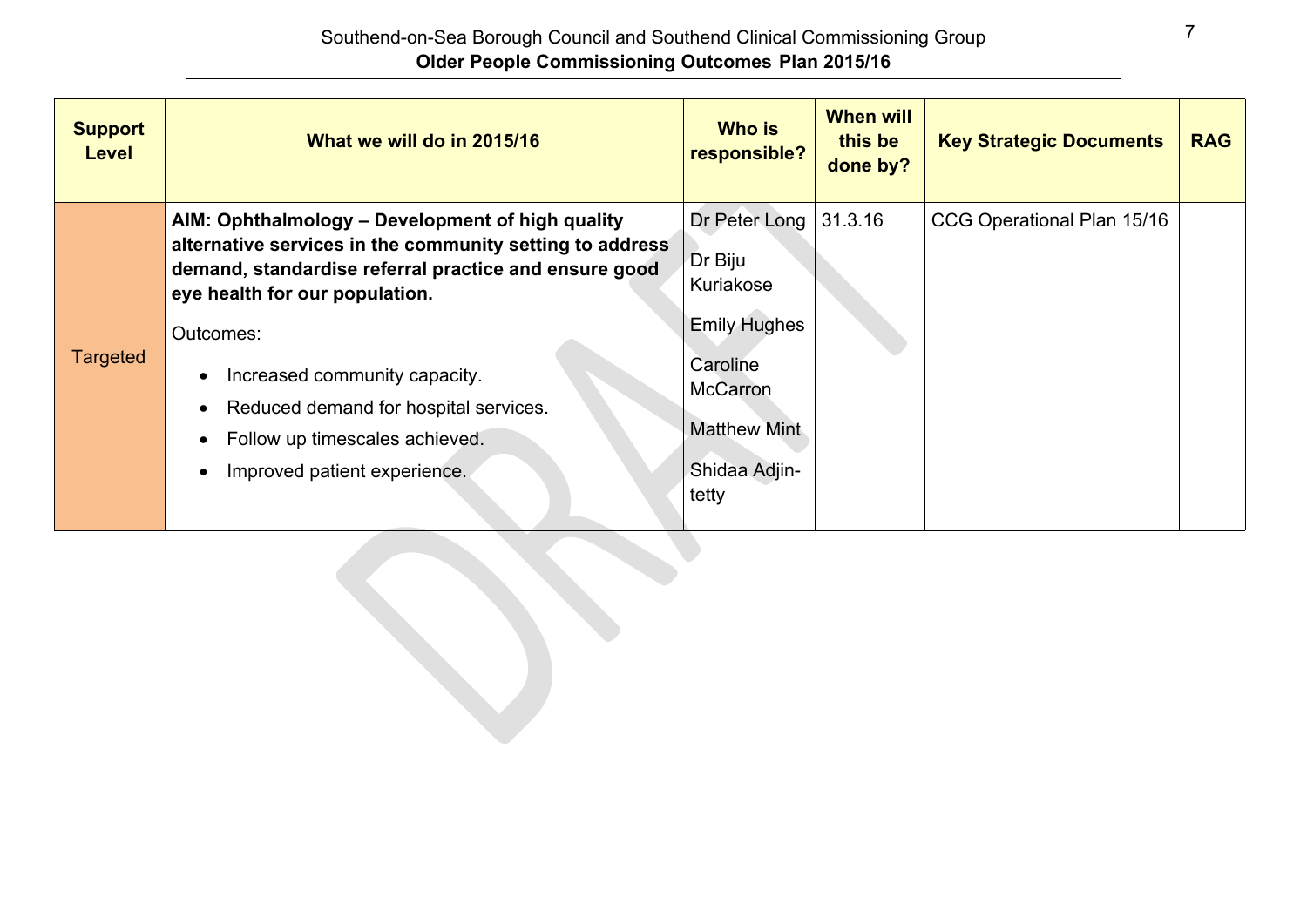| <b>Support</b><br><b>Level</b> | What we will do in 2015/16                                                                                                                                                              | <b>Who is</b><br>responsible?                                                                       | <b>When will</b><br>this be<br>done by? | <b>Key Strategic Documents</b> | <b>RAG</b> |
|--------------------------------|-----------------------------------------------------------------------------------------------------------------------------------------------------------------------------------------|-----------------------------------------------------------------------------------------------------|-----------------------------------------|--------------------------------|------------|
|                                | AIM: Ophthalmology - Development of high quality<br>alternative services in the community setting to address<br>demand, standardise referral practice and ensure good                   | Dr Peter Long<br>Dr Biju<br>Kuriakose                                                               | 31.3.16                                 | CCG Operational Plan 15/16     |            |
| Targeted                       | eye health for our population.<br>Outcomes:<br>Increased community capacity.<br>Reduced demand for hospital services.<br>Follow up timescales achieved.<br>Improved patient experience. | <b>Emily Hughes</b><br>Caroline<br><b>McCarron</b><br><b>Matthew Mint</b><br>Shidaa Adjin-<br>tetty |                                         |                                |            |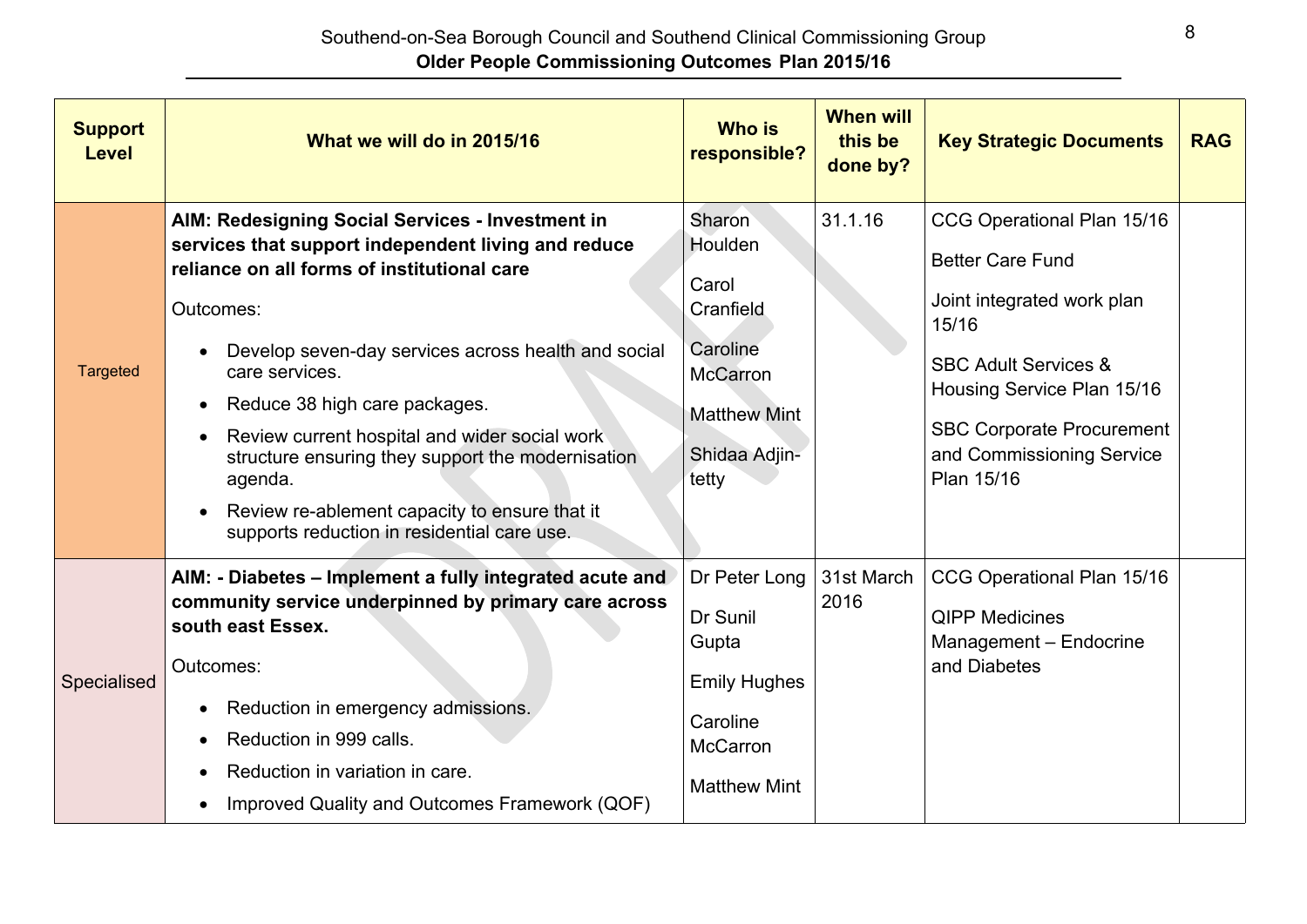| <b>Support</b><br><b>Level</b> | What we will do in 2015/16                                                                                                                                                                                                                                                                                                                                                                                                                                                                                  | <b>Who is</b><br>responsible?                                                                                           | <b>When will</b><br>this be<br>done by? | <b>Key Strategic Documents</b>                                                                                                                                                                                                               | <b>RAG</b> |
|--------------------------------|-------------------------------------------------------------------------------------------------------------------------------------------------------------------------------------------------------------------------------------------------------------------------------------------------------------------------------------------------------------------------------------------------------------------------------------------------------------------------------------------------------------|-------------------------------------------------------------------------------------------------------------------------|-----------------------------------------|----------------------------------------------------------------------------------------------------------------------------------------------------------------------------------------------------------------------------------------------|------------|
| <b>Targeted</b>                | AIM: Redesigning Social Services - Investment in<br>services that support independent living and reduce<br>reliance on all forms of institutional care<br>Outcomes:<br>Develop seven-day services across health and social<br>care services.<br>Reduce 38 high care packages.<br>$\bullet$<br>Review current hospital and wider social work<br>structure ensuring they support the modernisation<br>agenda.<br>Review re-ablement capacity to ensure that it<br>supports reduction in residential care use. | Sharon<br>Houlden<br>Carol<br>Cranfield<br>Caroline<br><b>McCarron</b><br><b>Matthew Mint</b><br>Shidaa Adjin-<br>tetty | 31.1.16                                 | CCG Operational Plan 15/16<br><b>Better Care Fund</b><br>Joint integrated work plan<br>15/16<br><b>SBC Adult Services &amp;</b><br>Housing Service Plan 15/16<br><b>SBC Corporate Procurement</b><br>and Commissioning Service<br>Plan 15/16 |            |
| Specialised                    | AIM: - Diabetes - Implement a fully integrated acute and<br>community service underpinned by primary care across<br>south east Essex.<br>Outcomes:<br>Reduction in emergency admissions.<br>Reduction in 999 calls.<br>Reduction in variation in care.<br>Improved Quality and Outcomes Framework (QOF)                                                                                                                                                                                                     | Dr Peter Long<br>Dr Sunil<br>Gupta<br><b>Emily Hughes</b><br>Caroline<br><b>McCarron</b><br><b>Matthew Mint</b>         | 31st March<br>2016                      | CCG Operational Plan 15/16<br><b>QIPP Medicines</b><br>Management - Endocrine<br>and Diabetes                                                                                                                                                |            |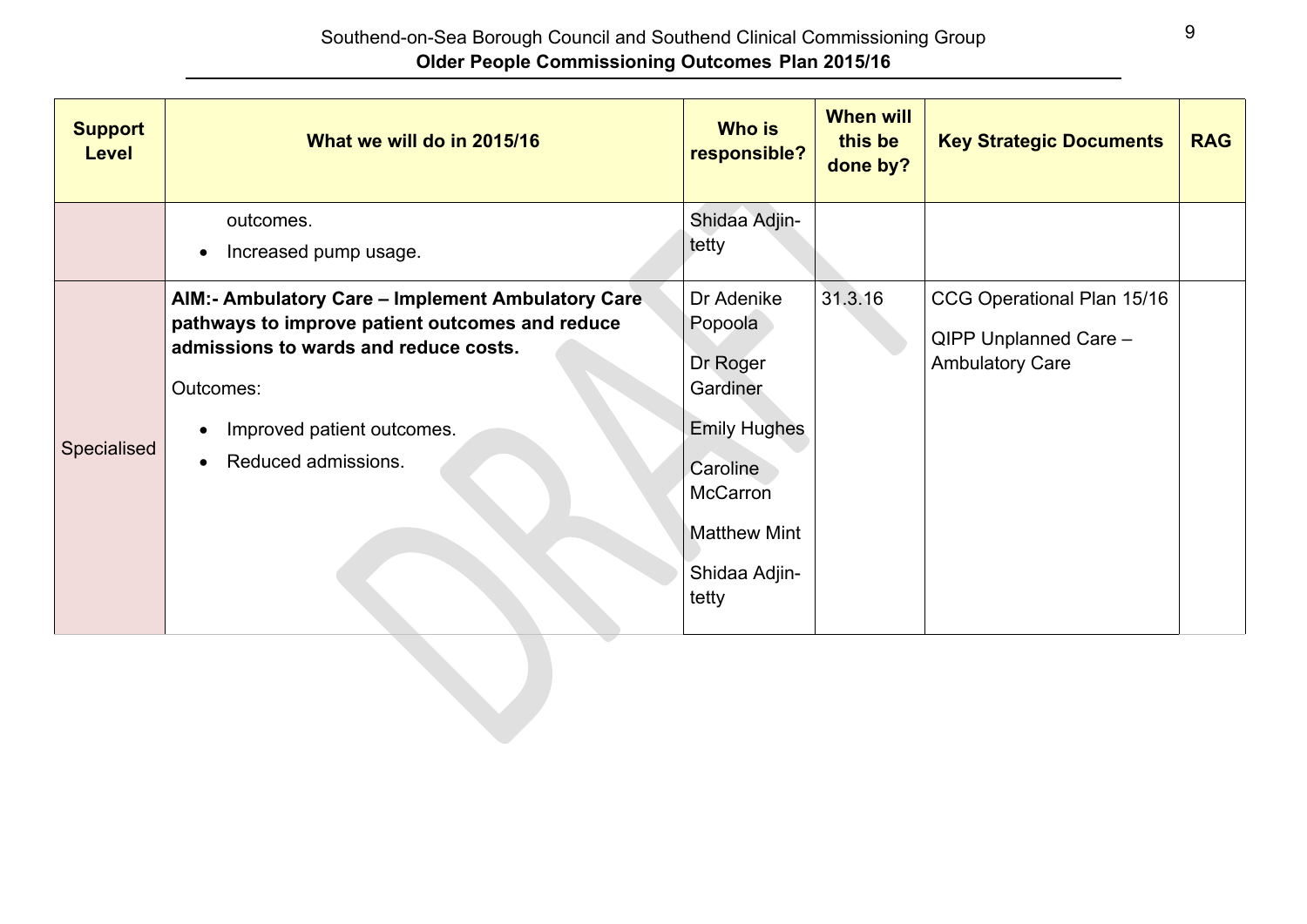| <b>Support</b><br><b>Level</b> | What we will do in 2015/16                                                                                                                                                                                                                | <b>Who is</b><br>responsible?                                                                                                                 | <b>When will</b><br>this be<br>done by? | <b>Key Strategic Documents</b>                                                | <b>RAG</b> |
|--------------------------------|-------------------------------------------------------------------------------------------------------------------------------------------------------------------------------------------------------------------------------------------|-----------------------------------------------------------------------------------------------------------------------------------------------|-----------------------------------------|-------------------------------------------------------------------------------|------------|
|                                | outcomes.<br>Increased pump usage.<br>$\bullet$                                                                                                                                                                                           | Shidaa Adjin-<br>tetty                                                                                                                        |                                         |                                                                               |            |
| Specialised                    | AIM:- Ambulatory Care - Implement Ambulatory Care<br>pathways to improve patient outcomes and reduce<br>admissions to wards and reduce costs.<br>Outcomes:<br>Improved patient outcomes.<br>$\bullet$<br>Reduced admissions.<br>$\bullet$ | Dr Adenike<br>Popoola<br>Dr Roger<br>Gardiner<br><b>Emily Hughes</b><br>Caroline<br>McCarron<br><b>Matthew Mint</b><br>Shidaa Adjin-<br>tetty | 31.3.16                                 | CCG Operational Plan 15/16<br>QIPP Unplanned Care -<br><b>Ambulatory Care</b> |            |
|                                |                                                                                                                                                                                                                                           |                                                                                                                                               |                                         |                                                                               |            |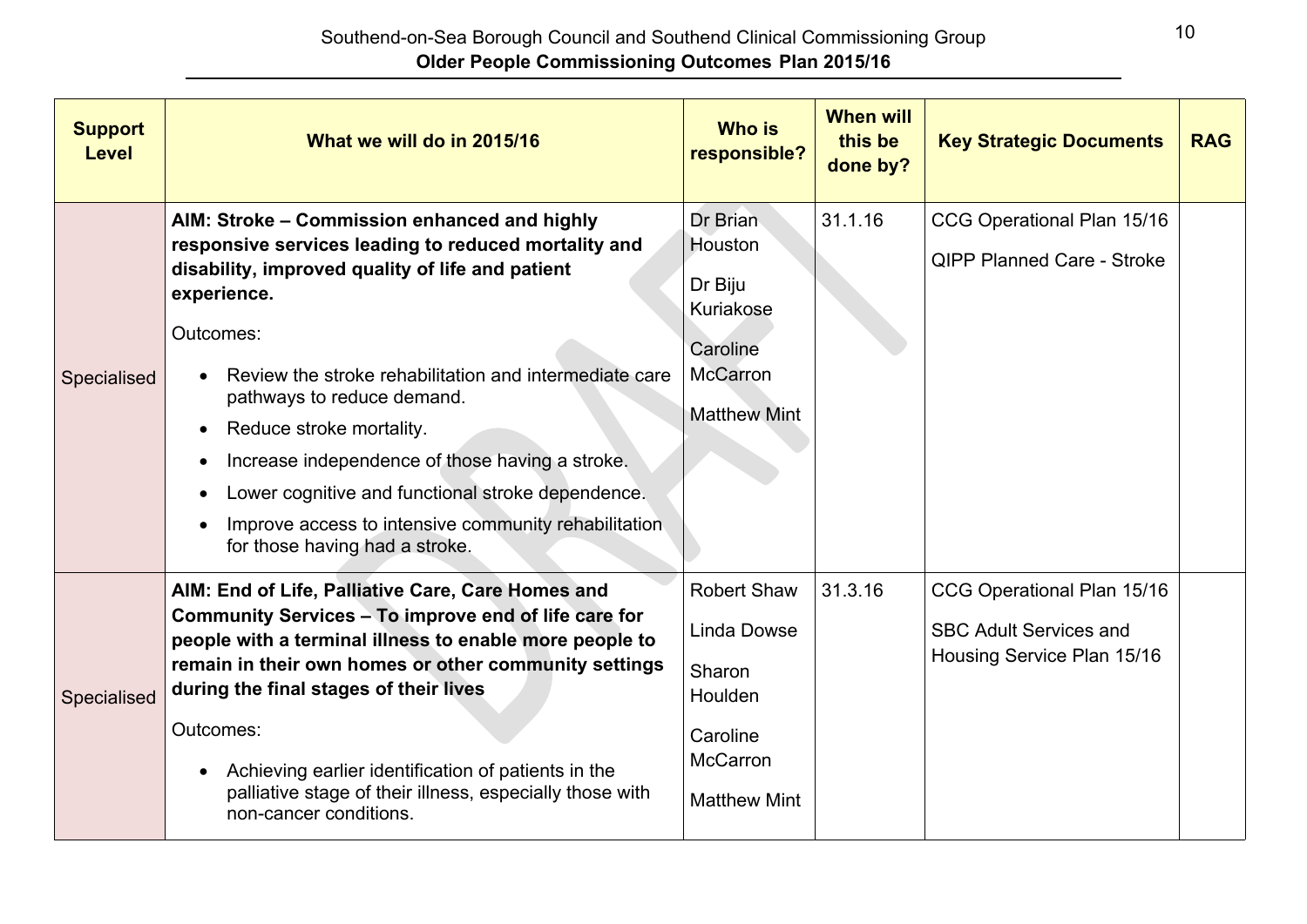| <b>Support</b><br><b>Level</b> | What we will do in 2015/16                                                                                                                                                                                                                                                                                                                                                                                                                                                                                 | <b>Who is</b><br>responsible?                                                                                       | <b>When will</b><br>this be<br>done by? | <b>Key Strategic Documents</b>                                                            | <b>RAG</b> |
|--------------------------------|------------------------------------------------------------------------------------------------------------------------------------------------------------------------------------------------------------------------------------------------------------------------------------------------------------------------------------------------------------------------------------------------------------------------------------------------------------------------------------------------------------|---------------------------------------------------------------------------------------------------------------------|-----------------------------------------|-------------------------------------------------------------------------------------------|------------|
| Specialised                    | AIM: Stroke - Commission enhanced and highly<br>responsive services leading to reduced mortality and<br>disability, improved quality of life and patient<br>experience.<br>Outcomes:<br>Review the stroke rehabilitation and intermediate care<br>pathways to reduce demand.<br>Reduce stroke mortality.<br>Increase independence of those having a stroke.<br>Lower cognitive and functional stroke dependence.<br>Improve access to intensive community rehabilitation<br>for those having had a stroke. | Dr Brian<br>Houston<br>Dr Biju<br>Kuriakose<br>Caroline<br><b>McCarron</b><br><b>Matthew Mint</b>                   | 31.1.16                                 | CCG Operational Plan 15/16<br><b>QIPP Planned Care - Stroke</b>                           |            |
| Specialised                    | AIM: End of Life, Palliative Care, Care Homes and<br>Community Services - To improve end of life care for<br>people with a terminal illness to enable more people to<br>remain in their own homes or other community settings<br>during the final stages of their lives<br>Outcomes:<br>Achieving earlier identification of patients in the<br>palliative stage of their illness, especially those with<br>non-cancer conditions.                                                                          | <b>Robert Shaw</b><br><b>Linda Dowse</b><br>Sharon<br>Houlden<br>Caroline<br><b>McCarron</b><br><b>Matthew Mint</b> | 31.3.16                                 | CCG Operational Plan 15/16<br><b>SBC Adult Services and</b><br>Housing Service Plan 15/16 |            |